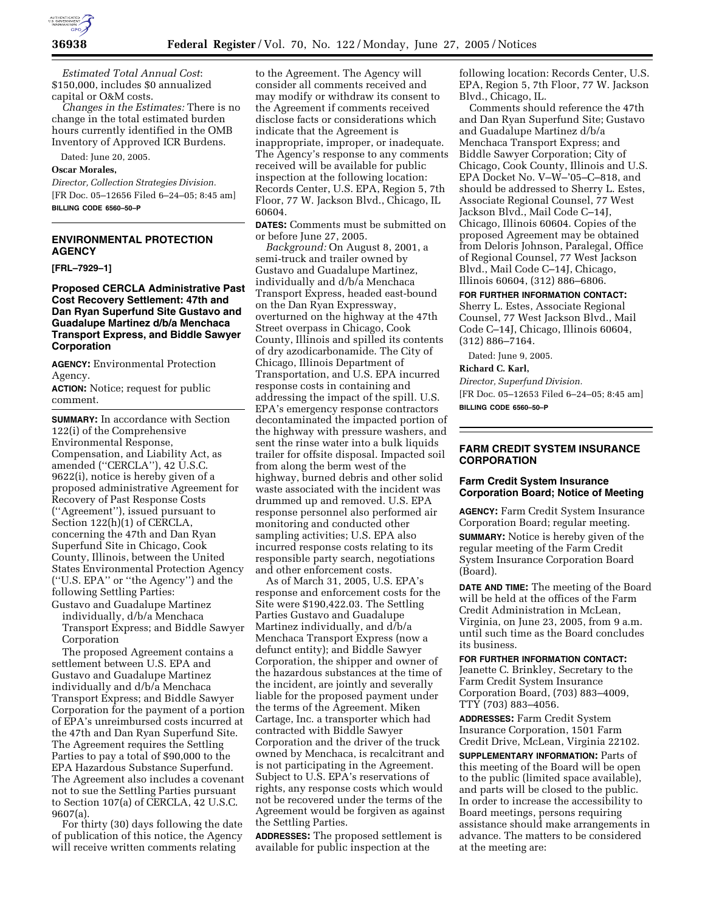

*Estimated Total Annual Cost*: \$150,000, includes \$0 annualized capital or O&M costs.

*Changes in the Estimates:* There is no change in the total estimated burden hours currently identified in the OMB Inventory of Approved ICR Burdens.

Dated: June 20, 2005.

# **Oscar Morales,**

*Director, Collection Strategies Division.* [FR Doc. 05–12656 Filed 6–24–05; 8:45 am] **BILLING CODE 6560–50–P**

# **ENVIRONMENTAL PROTECTION AGENCY**

**[FRL–7929–1]** 

## **Proposed CERCLA Administrative Past Cost Recovery Settlement: 47th and Dan Ryan Superfund Site Gustavo and Guadalupe Martinez d/b/a Menchaca Transport Express, and Biddle Sawyer Corporation**

**AGENCY:** Environmental Protection Agency.

**ACTION:** Notice; request for public comment.

**SUMMARY:** In accordance with Section 122(i) of the Comprehensive Environmental Response, Compensation, and Liability Act, as amended (''CERCLA''), 42 U.S.C. 9622(i), notice is hereby given of a proposed administrative Agreement for Recovery of Past Response Costs (''Agreement''), issued pursuant to Section 122(h)(1) of CERCLA, concerning the 47th and Dan Ryan Superfund Site in Chicago, Cook County, Illinois, between the United States Environmental Protection Agency (''U.S. EPA'' or ''the Agency'') and the following Settling Parties:

Gustavo and Guadalupe Martinez individually, d/b/a Menchaca Transport Express; and Biddle Sawyer Corporation

The proposed Agreement contains a settlement between U.S. EPA and Gustavo and Guadalupe Martinez individually and d/b/a Menchaca Transport Express; and Biddle Sawyer Corporation for the payment of a portion of EPA's unreimbursed costs incurred at the 47th and Dan Ryan Superfund Site. The Agreement requires the Settling Parties to pay a total of \$90,000 to the EPA Hazardous Substance Superfund. The Agreement also includes a covenant not to sue the Settling Parties pursuant to Section 107(a) of CERCLA, 42 U.S.C. 9607(a).

For thirty (30) days following the date of publication of this notice, the Agency will receive written comments relating

to the Agreement. The Agency will consider all comments received and may modify or withdraw its consent to the Agreement if comments received disclose facts or considerations which indicate that the Agreement is inappropriate, improper, or inadequate. The Agency's response to any comments received will be available for public inspection at the following location: Records Center, U.S. EPA, Region 5, 7th Floor, 77 W. Jackson Blvd., Chicago, IL 60604.

**DATES:** Comments must be submitted on or before June 27, 2005.

*Background:* On August 8, 2001, a semi-truck and trailer owned by Gustavo and Guadalupe Martinez, individually and d/b/a Menchaca Transport Express, headed east-bound on the Dan Ryan Expressway, overturned on the highway at the 47th Street overpass in Chicago, Cook County, Illinois and spilled its contents of dry azodicarbonamide. The City of Chicago, Illinois Department of Transportation, and U.S. EPA incurred response costs in containing and addressing the impact of the spill. U.S. EPA's emergency response contractors decontaminated the impacted portion of the highway with pressure washers, and sent the rinse water into a bulk liquids trailer for offsite disposal. Impacted soil from along the berm west of the highway, burned debris and other solid waste associated with the incident was drummed up and removed. U.S. EPA response personnel also performed air monitoring and conducted other sampling activities; U.S. EPA also incurred response costs relating to its responsible party search, negotiations and other enforcement costs.

As of March 31, 2005, U.S. EPA's response and enforcement costs for the Site were \$190,422.03. The Settling Parties Gustavo and Guadalupe Martinez individually, and d/b/a Menchaca Transport Express (now a defunct entity); and Biddle Sawyer Corporation, the shipper and owner of the hazardous substances at the time of the incident, are jointly and severally liable for the proposed payment under the terms of the Agreement. Miken Cartage, Inc. a transporter which had contracted with Biddle Sawyer Corporation and the driver of the truck owned by Menchaca, is recalcitrant and is not participating in the Agreement. Subject to U.S. EPA's reservations of rights, any response costs which would not be recovered under the terms of the Agreement would be forgiven as against the Settling Parties.

**ADDRESSES:** The proposed settlement is available for public inspection at the

following location: Records Center, U.S. EPA, Region 5, 7th Floor, 77 W. Jackson Blvd., Chicago, IL.

Comments should reference the 47th and Dan Ryan Superfund Site; Gustavo and Guadalupe Martinez d/b/a Menchaca Transport Express; and Biddle Sawyer Corporation; City of Chicago, Cook County, Illinois and U.S. EPA Docket No. V–W–'05–C–818, and should be addressed to Sherry L. Estes, Associate Regional Counsel, 77 West Jackson Blvd., Mail Code C–14J, Chicago, Illinois 60604. Copies of the proposed Agreement may be obtained from Deloris Johnson, Paralegal, Office of Regional Counsel, 77 West Jackson Blvd., Mail Code C–14J, Chicago, Illinois 60604, (312) 886–6806.

### **FOR FURTHER INFORMATION CONTACT:**

Sherry L. Estes, Associate Regional Counsel, 77 West Jackson Blvd., Mail Code C–14J, Chicago, Illinois 60604, (312) 886–7164.

Dated: June 9, 2005.

## **Richard C. Karl,**

*Director, Superfund Division.* [FR Doc. 05–12653 Filed 6–24–05; 8:45 am] **BILLING CODE 6560–50–P**

# **FARM CREDIT SYSTEM INSURANCE CORPORATION**

# **Farm Credit System Insurance Corporation Board; Notice of Meeting**

**AGENCY:** Farm Credit System Insurance Corporation Board; regular meeting. **SUMMARY:** Notice is hereby given of the regular meeting of the Farm Credit System Insurance Corporation Board (Board).

**DATE AND TIME:** The meeting of the Board will be held at the offices of the Farm Credit Administration in McLean, Virginia, on June 23, 2005, from 9 a.m. until such time as the Board concludes its business.

#### **FOR FURTHER INFORMATION CONTACT:**

Jeanette C. Brinkley, Secretary to the Farm Credit System Insurance Corporation Board, (703) 883–4009, TTY (703) 883–4056.

**ADDRESSES:** Farm Credit System Insurance Corporation, 1501 Farm Credit Drive, McLean, Virginia 22102.

**SUPPLEMENTARY INFORMATION:** Parts of this meeting of the Board will be open to the public (limited space available), and parts will be closed to the public. In order to increase the accessibility to Board meetings, persons requiring assistance should make arrangements in advance. The matters to be considered at the meeting are: